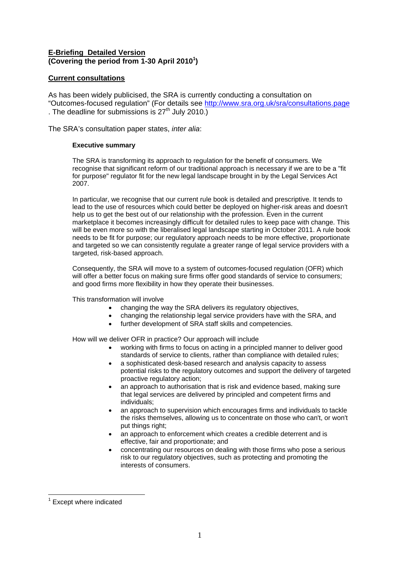# **E-Briefing Detailed Version (Covering the period from 1-30 April 2010[1](#page-0-0) )**

## **Current consultations**

As has been widely publicised, the SRA is currently conducting a consultation on "Outcomes-focused regulation" (For details see<http://www.sra.org.uk/sra/consultations.page> . The deadline for submissions is  $27<sup>th</sup>$  July 2010.)

The SRA's consultation paper states, *inter alia*:

## **Executive summary**

The SRA is transforming its approach to regulation for the benefit of consumers. We recognise that significant reform of our traditional approach is necessary if we are to be a "fit for purpose" regulator fit for the new legal landscape brought in by the Legal Services Act 2007.

In particular, we recognise that our current rule book is detailed and prescriptive. It tends to lead to the use of resources which could better be deployed on higher-risk areas and doesn't help us to get the best out of our relationship with the profession. Even in the current marketplace it becomes increasingly difficult for detailed rules to keep pace with change. This will be even more so with the liberalised legal landscape starting in October 2011. A rule book needs to be fit for purpose; our regulatory approach needs to be more effective, proportionate and targeted so we can consistently regulate a greater range of legal service providers with a targeted, risk-based approach.

Consequently, the SRA will move to a system of outcomes-focused regulation (OFR) which will offer a better focus on making sure firms offer good standards of service to consumers; and good firms more flexibility in how they operate their businesses.

This transformation will involve

- changing the way the SRA delivers its regulatory objectives,
- changing the relationship legal service providers have with the SRA, and
- further development of SRA staff skills and competencies.

How will we deliver OFR in practice? Our approach will include

- working with firms to focus on acting in a principled manner to deliver good standards of service to clients, rather than compliance with detailed rules;
- a sophisticated desk-based research and analysis capacity to assess potential risks to the regulatory outcomes and support the delivery of targeted proactive regulatory action;
- an approach to authorisation that is risk and evidence based, making sure that legal services are delivered by principled and competent firms and individuals;
- an approach to supervision which encourages firms and individuals to tackle the risks themselves, allowing us to concentrate on those who can't, or won't put things right;
- an approach to enforcement which creates a credible deterrent and is effective, fair and proportionate; and
- concentrating our resources on dealing with those firms who pose a serious risk to our regulatory objectives, such as protecting and promoting the interests of consumers.

<span id="page-0-0"></span> $\overline{a}$ <sup>1</sup> Except where indicated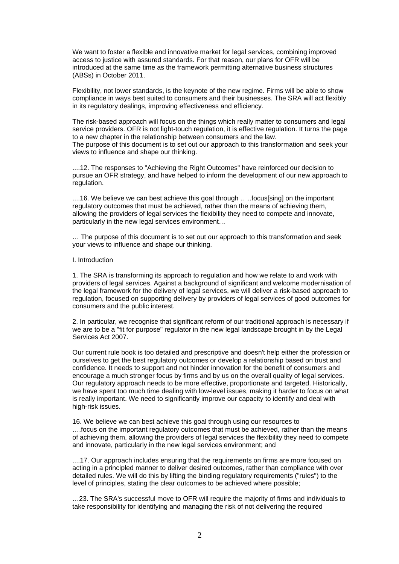We want to foster a flexible and innovative market for legal services, combining improved access to justice with assured standards. For that reason, our plans for OFR will be introduced at the same time as the framework permitting alternative business structures (ABSs) in October 2011.

Flexibility, not lower standards, is the keynote of the new regime. Firms will be able to show compliance in ways best suited to consumers and their businesses. The SRA will act flexibly in its regulatory dealings, improving effectiveness and efficiency.

The risk-based approach will focus on the things which really matter to consumers and legal service providers. OFR is not light-touch regulation, it is effective regulation. It turns the page to a new chapter in the relationship between consumers and the law. The purpose of this document is to set out our approach to this transformation and seek your views to influence and shape our thinking.

....12. The responses to "Achieving the Right Outcomes" have reinforced our decision to pursue an OFR strategy, and have helped to inform the development of our new approach to regulation.

....16. We believe we can best achieve this goal through .. ..focus[sing] on the important regulatory outcomes that must be achieved, rather than the means of achieving them, allowing the providers of legal services the flexibility they need to compete and innovate, particularly in the new legal services environment…

… The purpose of this document is to set out our approach to this transformation and seek your views to influence and shape our thinking.

#### I. Introduction

1. The SRA is transforming its approach to regulation and how we relate to and work with providers of legal services. Against a background of significant and welcome modernisation of the legal framework for the delivery of legal services, we will deliver a risk-based approach to regulation, focused on supporting delivery by providers of legal services of good outcomes for consumers and the public interest.

2. In particular, we recognise that significant reform of our traditional approach is necessary if we are to be a "fit for purpose" regulator in the new legal landscape brought in by the Legal Services Act 2007.

Our current rule book is too detailed and prescriptive and doesn't help either the profession or ourselves to get the best regulatory outcomes or develop a relationship based on trust and confidence. It needs to support and not hinder innovation for the benefit of consumers and encourage a much stronger focus by firms and by us on the overall quality of legal services. Our regulatory approach needs to be more effective, proportionate and targeted. Historically, we have spent too much time dealing with low-level issues, making it harder to focus on what is really important. We need to significantly improve our capacity to identify and deal with high-risk issues.

16. We believe we can best achieve this goal through using our resources to ….focus on the important regulatory outcomes that must be achieved, rather than the means of achieving them, allowing the providers of legal services the flexibility they need to compete and innovate, particularly in the new legal services environment; and

....17. Our approach includes ensuring that the requirements on firms are more focused on acting in a principled manner to deliver desired outcomes, rather than compliance with over detailed rules. We will do this by lifting the binding regulatory requirements ("rules") to the level of principles, stating the clear outcomes to be achieved where possible;

…23. The SRA's successful move to OFR will require the majority of firms and individuals to take responsibility for identifying and managing the risk of not delivering the required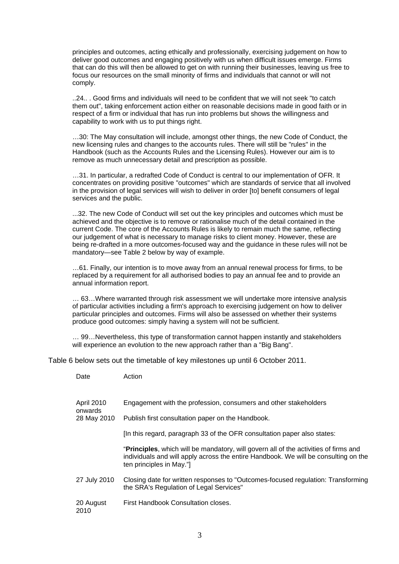principles and outcomes, acting ethically and professionally, exercising judgement on how to deliver good outcomes and engaging positively with us when difficult issues emerge. Firms that can do this will then be allowed to get on with running their businesses, leaving us free to focus our resources on the small minority of firms and individuals that cannot or will not comply.

..24.. . Good firms and individuals will need to be confident that we will not seek "to catch them out", taking enforcement action either on reasonable decisions made in good faith or in respect of a firm or individual that has run into problems but shows the willingness and capability to work with us to put things right.

…30: The May consultation will include, amongst other things, the new Code of Conduct, the new licensing rules and changes to the accounts rules. There will still be "rules" in the Handbook (such as the Accounts Rules and the Licensing Rules). However our aim is to remove as much unnecessary detail and prescription as possible.

…31. In particular, a redrafted Code of Conduct is central to our implementation of OFR. It concentrates on providing positive "outcomes" which are standards of service that all involved in the provision of legal services will wish to deliver in order [to] benefit consumers of legal services and the public.

...32. The new Code of Conduct will set out the key principles and outcomes which must be achieved and the objective is to remove or rationalise much of the detail contained in the current Code. The core of the Accounts Rules is likely to remain much the same, reflecting our judgement of what is necessary to manage risks to client money. However, these are being re-drafted in a more outcomes-focused way and the guidance in these rules will not be mandatory—see Table 2 below by way of example.

…61. Finally, our intention is to move away from an annual renewal process for firms, to be replaced by a requirement for all authorised bodies to pay an annual fee and to provide an annual information report.

… 63…Where warranted through risk assessment we will undertake more intensive analysis of particular activities including a firm's approach to exercising judgement on how to deliver particular principles and outcomes. Firms will also be assessed on whether their systems produce good outcomes: simply having a system will not be sufficient.

… 99…Nevertheless, this type of transformation cannot happen instantly and stakeholders will experience an evolution to the new approach rather than a "Big Bang".

Table 6 below sets out the timetable of key milestones up until 6 October 2011.

| Date | Action |
|------|--------|
|      |        |

| <b>April 2010</b><br>onwards | Engagement with the profession, consumers and other stakeholders                                                                                                                                       |
|------------------------------|--------------------------------------------------------------------------------------------------------------------------------------------------------------------------------------------------------|
| 28 May 2010                  | Publish first consultation paper on the Handbook.                                                                                                                                                      |
|                              | [In this regard, paragraph 33 of the OFR consultation paper also states:                                                                                                                               |
|                              | "Principles, which will be mandatory, will govern all of the activities of firms and<br>individuals and will apply across the entire Handbook. We will be consulting on the<br>ten principles in May." |
| 27 July 2010                 | Closing date for written responses to "Outcomes-focused regulation: Transforming<br>the SRA's Regulation of Legal Services"                                                                            |
| 20 August<br>2010            | First Handbook Consultation closes.                                                                                                                                                                    |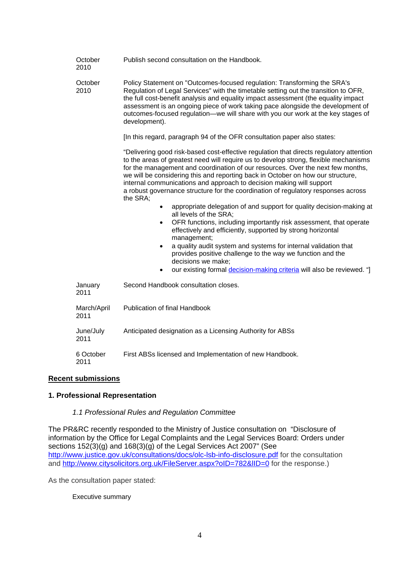| October<br>2010     | Publish second consultation on the Handbook.                                                                                                                                                                                                                                                                                                                                                                                                                                                                                   |
|---------------------|--------------------------------------------------------------------------------------------------------------------------------------------------------------------------------------------------------------------------------------------------------------------------------------------------------------------------------------------------------------------------------------------------------------------------------------------------------------------------------------------------------------------------------|
| October<br>2010     | Policy Statement on "Outcomes-focused regulation: Transforming the SRA's<br>Regulation of Legal Services" with the timetable setting out the transition to OFR,<br>the full cost-benefit analysis and equality impact assessment (the equality impact<br>assessment is an ongoing piece of work taking pace alongside the development of<br>outcomes-focused regulation-we will share with you our work at the key stages of<br>development).                                                                                  |
|                     | [In this regard, paragraph 94 of the OFR consultation paper also states:                                                                                                                                                                                                                                                                                                                                                                                                                                                       |
|                     | "Delivering good risk-based cost-effective regulation that directs regulatory attention<br>to the areas of greatest need will require us to develop strong, flexible mechanisms<br>for the management and coordination of our resources. Over the next few months,<br>we will be considering this and reporting back in October on how our structure,<br>internal communications and approach to decision making will support<br>a robust governance structure for the coordination of regulatory responses across<br>the SRA; |
|                     | appropriate delegation of and support for quality decision-making at<br>$\bullet$<br>all levels of the SRA;<br>OFR functions, including importantly risk assessment, that operate<br>$\bullet$<br>effectively and efficiently, supported by strong horizontal<br>management;<br>a quality audit system and systems for internal validation that<br>$\bullet$<br>provides positive challenge to the way we function and the<br>decisions we make;<br>our existing formal decision-making criteria will also be reviewed. "]     |
| January<br>2011     | Second Handbook consultation closes.                                                                                                                                                                                                                                                                                                                                                                                                                                                                                           |
| March/April<br>2011 | Publication of final Handbook                                                                                                                                                                                                                                                                                                                                                                                                                                                                                                  |
| June/July<br>2011   | Anticipated designation as a Licensing Authority for ABSs                                                                                                                                                                                                                                                                                                                                                                                                                                                                      |
| 6 October<br>2011   | First ABSs licensed and Implementation of new Handbook.                                                                                                                                                                                                                                                                                                                                                                                                                                                                        |

# **Recent submissions**

# **1. Professional Representation**

## *1.1 Professional Rules and Regulation Committee*

The PR&RC recently responded to the Ministry of Justice consultation on "Disclosure of information by the Office for Legal Complaints and the Legal Services Board: Orders under sections 152(3)(g) and 168(3)(g) of the Legal Services Act 2007" (See <http://www.justice.gov.uk/consultations/docs/olc-lsb-info-disclosure.pdf>for the consultation and http://www.citysolicitors.org.uk/FileServer.aspx?oID=782&IID=0 for the response.)

As the consultation paper stated:

## Executive summary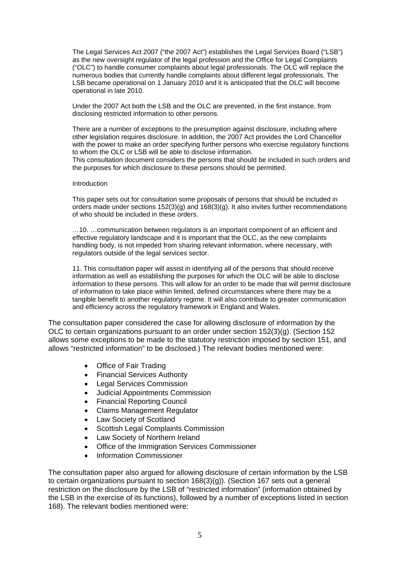The Legal Services Act 2007 ("the 2007 Act") establishes the Legal Services Board ("LSB") as the new oversight regulator of the legal profession and the Office for Legal Complaints ("OLC") to handle consumer complaints about legal professionals. The OLC will replace the numerous bodies that currently handle complaints about different legal professionals. The LSB became operational on 1 January 2010 and it is anticipated that the OLC will become operational in late 2010.

Under the 2007 Act both the LSB and the OLC are prevented, in the first instance, from disclosing restricted information to other persons.

There are a number of exceptions to the presumption against disclosure, including where other legislation requires disclosure. In addition, the 2007 Act provides the Lord Chancellor with the power to make an order specifying further persons who exercise regulatory functions to whom the OLC or LSB will be able to disclose information.

This consultation document considers the persons that should be included in such orders and the purposes for which disclosure to these persons should be permitted.

#### Introduction

This paper sets out for consultation some proposals of persons that should be included in orders made under sections 152(3)(g) and 168(3)(g). It also invites further recommendations of who should be included in these orders.

…10. …communication between regulators is an important component of an efficient and effective regulatory landscape and it is important that the OLC, as the new complaints handling body, is not impeded from sharing relevant information, where necessary, with regulators outside of the legal services sector.

11. This consultation paper will assist in identifying all of the persons that should receive information as well as establishing the purposes for which the OLC will be able to disclose information to these persons. This will allow for an order to be made that will permit disclosure of information to take place within limited, defined circumstances where there may be a tangible benefit to another regulatory regime. It will also contribute to greater communication and efficiency across the regulatory framework in England and Wales.

The consultation paper considered the case for allowing disclosure of information by the OLC to certain organizations pursuant to an order under section 152(3)(g). (Section 152 allows some exceptions to be made to the statutory restriction imposed by section 151, and allows "restricted information" to be disclosed.) The relevant bodies mentioned were:

- Office of Fair Trading
- Financial Services Authority
- **Legal Services Commission**
- Judicial Appointments Commission
- Financial Reporting Council
- Claims Management Regulator
- Law Society of Scotland
- Scottish Legal Complaints Commission
- Law Society of Northern Ireland
- Office of the Immigration Services Commissioner
- Information Commissioner

The consultation paper also argued for allowing disclosure of certain information by the LSB to certain organizations pursuant to section 168(3)(g)). (Section 167 sets out a general restriction on the disclosure by the LSB of "restricted information" (information obtained by the LSB in the exercise of its functions), followed by a number of exceptions listed in section 168). The relevant bodies mentioned were: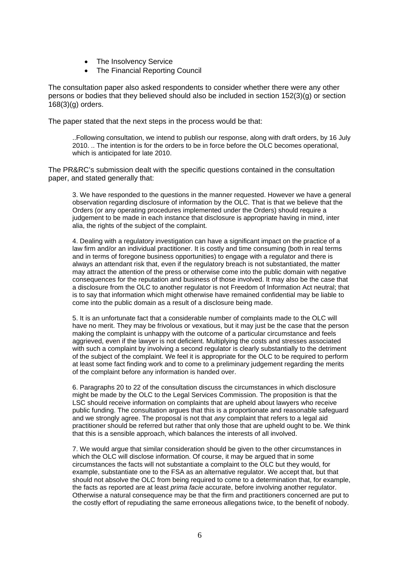- The Insolvency Service
- The Financial Reporting Council

The consultation paper also asked respondents to consider whether there were any other persons or bodies that they believed should also be included in section 152(3)(g) or section 168(3)(g) orders.

The paper stated that the next steps in the process would be that:

..Following consultation, we intend to publish our response, along with draft orders, by 16 July 2010. .. The intention is for the orders to be in force before the OLC becomes operational, which is anticipated for late 2010.

The PR&RC's submission dealt with the specific questions contained in the consultation paper, and stated generally that:

3. We have responded to the questions in the manner requested. However we have a general observation regarding disclosure of information by the OLC. That is that we believe that the Orders (or any operating procedures implemented under the Orders) should require a judgement to be made in each instance that disclosure is appropriate having in mind, inter alia, the rights of the subject of the complaint.

4. Dealing with a regulatory investigation can have a significant impact on the practice of a law firm and/or an individual practitioner. It is costly and time consuming (both in real terms and in terms of foregone business opportunities) to engage with a regulator and there is always an attendant risk that, even if the regulatory breach is not substantiated, the matter may attract the attention of the press or otherwise come into the public domain with negative consequences for the reputation and business of those involved. It may also be the case that a disclosure from the OLC to another regulator is not Freedom of Information Act neutral; that is to say that information which might otherwise have remained confidential may be liable to come into the public domain as a result of a disclosure being made.

5. It is an unfortunate fact that a considerable number of complaints made to the OLC will have no merit. They may be frivolous or vexatious, but it may just be the case that the person making the complaint is unhappy with the outcome of a particular circumstance and feels aggrieved, even if the lawyer is not deficient. Multiplying the costs and stresses associated with such a complaint by involving a second regulator is clearly substantially to the detriment of the subject of the complaint. We feel it is appropriate for the OLC to be required to perform at least some fact finding work and to come to a preliminary judgement regarding the merits of the complaint before any information is handed over.

6. Paragraphs 20 to 22 of the consultation discuss the circumstances in which disclosure might be made by the OLC to the Legal Services Commission. The proposition is that the LSC should receive information on complaints that are upheld about lawyers who receive public funding. The consultation argues that this is a proportionate and reasonable safeguard and we strongly agree. The proposal is not that *any* complaint that refers to a legal aid practitioner should be referred but rather that only those that are upheld ought to be. We think that this is a sensible approach, which balances the interests of all involved.

7. We would argue that similar consideration should be given to the other circumstances in which the OLC will disclose information. Of course, it may be argued that in some circumstances the facts will not substantiate a complaint to the OLC but they would, for example, substantiate one to the FSA as an alternative regulator. We accept that, but that should not absolve the OLC from being required to come to a determination that, for example, the facts as reported are at least *prima facie* accurate, before involving another regulator. Otherwise a natural consequence may be that the firm and practitioners concerned are put to the costly effort of repudiating the same erroneous allegations twice, to the benefit of nobody.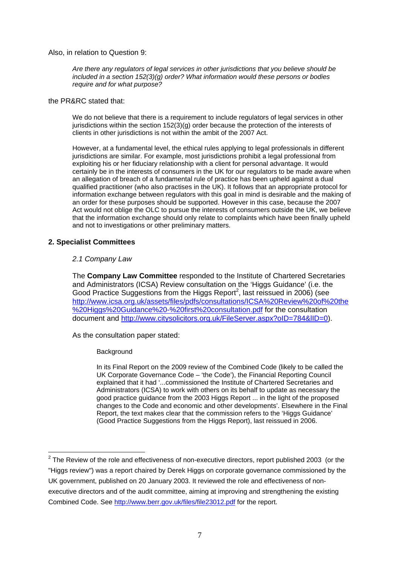Also, in relation to Question 9:

*Are there any regulators of legal services in other jurisdictions that you believe should be included in a section 152(3)(g) order? What information would these persons or bodies require and for what purpose?* 

## the PR&RC stated that:

We do not believe that there is a requirement to include regulators of legal services in other jurisdictions within the section 152(3)(g) order because the protection of the interests of clients in other jurisdictions is not within the ambit of the 2007 Act.

However, at a fundamental level, the ethical rules applying to legal professionals in different jurisdictions are similar. For example, most jurisdictions prohibit a legal professional from exploiting his or her fiduciary relationship with a client for personal advantage. It would certainly be in the interests of consumers in the UK for our regulators to be made aware when an allegation of breach of a fundamental rule of practice has been upheld against a dual qualified practitioner (who also practises in the UK). It follows that an appropriate protocol for information exchange between regulators with this goal in mind is desirable and the making of an order for these purposes should be supported. However in this case, because the 2007 Act would not oblige the OLC to pursue the interests of consumers outside the UK, we believe that the information exchange should only relate to complaints which have been finally upheld and not to investigations or other preliminary matters.

## **2. Specialist Committees**

## *2.1 Company Law*

The **Company Law Committee** responded to the Institute of Chartered Secretaries and Administrators (ICSA) Review consultation on the 'Higgs Guidance' (i.e. the Good Practice Suggestions from the Higgs Report<sup>2</sup>, last reissued in 2006) (see [http://www.icsa.org.uk/assets/files/pdfs/consultations/ICSA%20Review%20of%20the](http://www.icsa.org.uk/assets/files/pdfs/consultations/ICSA Review of the Higgs Guidance - first consultation.pdf) [%20Higgs%20Guidance%20-%20first%20consultation.pdf](http://www.icsa.org.uk/assets/files/pdfs/consultations/ICSA Review of the Higgs Guidance - first consultation.pdf) for the consultation document and http://www.citysolicitors.org.uk/FileServer.aspx?oID=784&IID=0).

As the consultation paper stated:

## **Background**

In its Final Report on the 2009 review of the Combined Code (likely to be called the UK Corporate Governance Code – 'the Code'), the Financial Reporting Council explained that it had '...commissioned the Institute of Chartered Secretaries and Administrators (ICSA) to work with others on its behalf to update as necessary the good practice guidance from the 2003 Higgs Report ... in the light of the proposed changes to the Code and economic and other developments'. Elsewhere in the Final Report, the text makes clear that the commission refers to the 'Higgs Guidance' (Good Practice Suggestions from the Higgs Report), last reissued in 2006.

<span id="page-6-0"></span> 2 The Review of the role and effectiveness of non-executive directors, report published 2003 (or the "Higgs review") was a report chaired by Derek Higgs on corporate governance commissioned by the UK government, published on 20 January 2003. It reviewed the role and effectiveness of nonexecutive directors and of the audit committee, aiming at improving and strengthening the existing Combined Code. See <http://www.berr.gov.uk/files/file23012.pdf>for the report.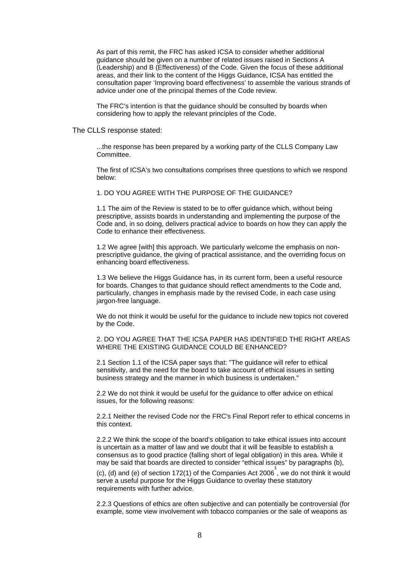As part of this remit, the FRC has asked ICSA to consider whether additional guidance should be given on a number of related issues raised in Sections A (Leadership) and B (Effectiveness) of the Code. Given the focus of these additional areas, and their link to the content of the Higgs Guidance, ICSA has entitled the consultation paper 'Improving board effectiveness' to assemble the various strands of advice under one of the principal themes of the Code review.

The FRC's intention is that the guidance should be consulted by boards when considering how to apply the relevant principles of the Code.

#### The CLLS response stated:

...the response has been prepared by a working party of the CLLS Company Law Committee.

The first of ICSA's two consultations comprises three questions to which we respond below:

#### 1. DO YOU AGREE WITH THE PURPOSE OF THE GUIDANCE?

1.1 The aim of the Review is stated to be to offer guidance which, without being prescriptive, assists boards in understanding and implementing the purpose of the Code and, in so doing, delivers practical advice to boards on how they can apply the Code to enhance their effectiveness.

1.2 We agree [with] this approach. We particularly welcome the emphasis on nonprescriptive guidance, the giving of practical assistance, and the overriding focus on enhancing board effectiveness.

1.3 We believe the Higgs Guidance has, in its current form, been a useful resource for boards. Changes to that guidance should reflect amendments to the Code and, particularly, changes in emphasis made by the revised Code, in each case using jargon-free language.

We do not think it would be useful for the guidance to include new topics not covered by the Code.

#### 2. DO YOU AGREE THAT THE ICSA PAPER HAS IDENTIFIED THE RIGHT AREAS WHERE THE EXISTING GUIDANCE COULD BE ENHANCED?

2.1 Section 1.1 of the ICSA paper says that: "The guidance will refer to ethical sensitivity, and the need for the board to take account of ethical issues in setting business strategy and the manner in which business is undertaken."

2.2 We do not think it would be useful for the guidance to offer advice on ethical issues, for the following reasons:

2.2.1 Neither the revised Code nor the FRC's Final Report refer to ethical concerns in this context.

2.2.2 We think the scope of the board's obligation to take ethical issues into account is uncertain as a matter of law and we doubt that it will be feasible to establish a consensus as to good practice (falling short of legal obligation) in this area. While it may be said that boards are directed to consider "ethical issues" by paragraphs (b),

(c), (d) and (e) of section 172(1) of the Companies Act 2006<sup>1</sup>, we do not think it would serve a useful purpose for the Higgs Guidance to overlay these statutory requirements with further advice.

2.2.3 Questions of ethics are often subjective and can potentially be controversial (for example, some view involvement with tobacco companies or the sale of weapons as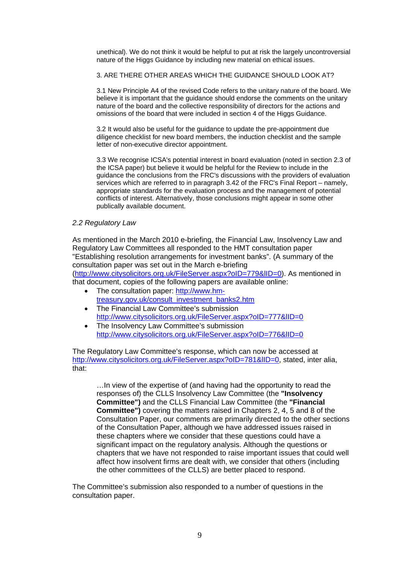unethical). We do not think it would be helpful to put at risk the largely uncontroversial nature of the Higgs Guidance by including new material on ethical issues.

3. ARE THERE OTHER AREAS WHICH THE GUIDANCE SHOULD LOOK AT?

3.1 New Principle A4 of the revised Code refers to the unitary nature of the board. We believe it is important that the guidance should endorse the comments on the unitary nature of the board and the collective responsibility of directors for the actions and omissions of the board that were included in section 4 of the Higgs Guidance.

3.2 It would also be useful for the guidance to update the pre-appointment due diligence checklist for new board members, the induction checklist and the sample letter of non-executive director appointment.

3.3 We recognise ICSA's potential interest in board evaluation (noted in section 2.3 of the ICSA paper) but believe it would be helpful for the Review to include in the guidance the conclusions from the FRC's discussions with the providers of evaluation services which are referred to in paragraph 3.42 of the FRC's Final Report – namely, appropriate standards for the evaluation process and the management of potential conflicts of interest. Alternatively, those conclusions might appear in some other publically available document.

## *2.2 Regulatory Law*

As mentioned in the March 2010 e-briefing, the Financial Law, Insolvency Law and Regulatory Law Committees all responded to the HMT consultation paper "Establishing resolution arrangements for investment banks". (A summary of the consultation paper was set out in the March e-briefing ([http://www.citysolicitors.org.uk/FileServer.aspx?oID=779&lID=0\)](http://www.citysolicitors.org.uk/FileServer.aspx?oID=779&lID=0). As mentioned in that document, copies of the following papers are available online:

- The consultation paper: [http://www.hm](http://www.hm-treasury.gov.uk/consult_investment_banks2.htm)[treasury.gov.uk/consult\\_investment\\_banks2.htm](http://www.hm-treasury.gov.uk/consult_investment_banks2.htm)
- The Financial Law Committee's submission <http://www.citysolicitors.org.uk/FileServer.aspx?oID=777&lID=0>
- The Insolvency Law Committee's submission <http://www.citysolicitors.org.uk/FileServer.aspx?oID=776&lID=0>

The Regulatory Law Committee's response, which can now be accessed at http://www.citysolicitors.org.uk/FileServer.aspx?oID=781&IID=0, stated, inter alia, that:

…In view of the expertise of (and having had the opportunity to read the responses of) the CLLS Insolvency Law Committee (the **"Insolvency Committee")** and the CLLS Financial Law Committee (the **"Financial Committee")** covering the matters raised in Chapters 2, 4, 5 and 8 of the Consultation Paper, our comments are primarily directed to the other sections of the Consultation Paper, although we have addressed issues raised in these chapters where we consider that these questions could have a significant impact on the regulatory analysis. Although the questions or chapters that we have not responded to raise important issues that could well affect how insolvent firms are dealt with, we consider that others (including the other committees of the CLLS) are better placed to respond.

The Committee's submission also responded to a number of questions in the consultation paper.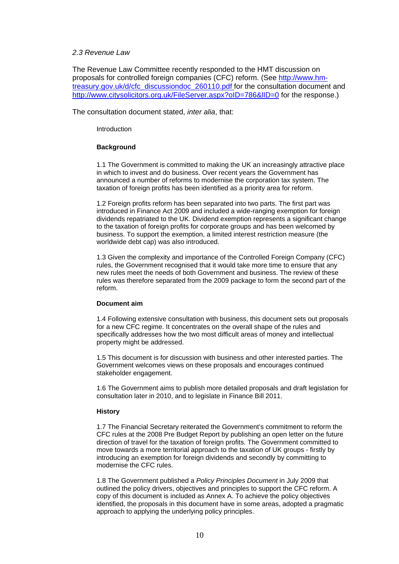### *2.3 Revenue Law*

The Revenue Law Committee recently responded to the HMT discussion on proposals for controlled foreign companies (CFC) reform. (See [http://www.hm](http://www.hm-treasury.gov.uk/d/cfc_discussiondoc_260110.pdf)[treasury.gov.uk/d/cfc\\_discussiondoc\\_260110.pdf](http://www.hm-treasury.gov.uk/d/cfc_discussiondoc_260110.pdf) for the consultation document and http://www.citysolicitors.org.uk/FileServer.aspx?oID=786&IID=0 for the response.)

The consultation document stated, *inter alia*, that:

Introduction

### **Background**

1.1 The Government is committed to making the UK an increasingly attractive place in which to invest and do business. Over recent years the Government has announced a number of reforms to modernise the corporation tax system. The taxation of foreign profits has been identified as a priority area for reform.

1.2 Foreign profits reform has been separated into two parts. The first part was introduced in Finance Act 2009 and included a wide-ranging exemption for foreign dividends repatriated to the UK. Dividend exemption represents a significant change to the taxation of foreign profits for corporate groups and has been welcomed by business. To support the exemption, a limited interest restriction measure (the worldwide debt cap) was also introduced.

1.3 Given the complexity and importance of the Controlled Foreign Company (CFC) rules, the Government recognised that it would take more time to ensure that any new rules meet the needs of both Government and business. The review of these rules was therefore separated from the 2009 package to form the second part of the reform.

### **Document aim**

1.4 Following extensive consultation with business, this document sets out proposals for a new CFC regime. It concentrates on the overall shape of the rules and specifically addresses how the two most difficult areas of money and intellectual property might be addressed.

1.5 This document is for discussion with business and other interested parties. The Government welcomes views on these proposals and encourages continued stakeholder engagement.

1.6 The Government aims to publish more detailed proposals and draft legislation for consultation later in 2010, and to legislate in Finance Bill 2011.

## **History**

1.7 The Financial Secretary reiterated the Government's commitment to reform the CFC rules at the 2008 Pre Budget Report by publishing an open letter on the future direction of travel for the taxation of foreign profits. The Government committed to move towards a more territorial approach to the taxation of UK groups - firstly by introducing an exemption for foreign dividends and secondly by committing to modernise the CFC rules.

1.8 The Government published a *Policy Principles Document* in July 2009 that outlined the policy drivers, objectives and principles to support the CFC reform. A copy of this document is included as Annex A. To achieve the policy objectives identified, the proposals in this document have in some areas, adopted a pragmatic approach to applying the underlying policy principles.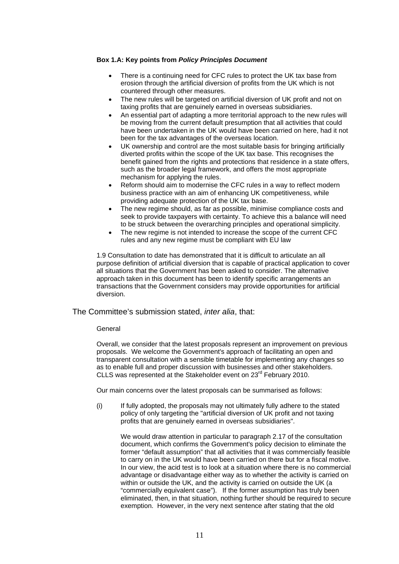### **Box 1.A: Key points from** *Policy Principles Document*

- There is a continuing need for CFC rules to protect the UK tax base from erosion through the artificial diversion of profits from the UK which is not countered through other measures.
- The new rules will be targeted on artificial diversion of UK profit and not on taxing profits that are genuinely earned in overseas subsidiaries.
- An essential part of adapting a more territorial approach to the new rules will be moving from the current default presumption that all activities that could have been undertaken in the UK would have been carried on here, had it not been for the tax advantages of the overseas location.
- UK ownership and control are the most suitable basis for bringing artificially diverted profits within the scope of the UK tax base. This recognises the benefit gained from the rights and protections that residence in a state offers, such as the broader legal framework, and offers the most appropriate mechanism for applying the rules.
- Reform should aim to modernise the CFC rules in a way to reflect modern business practice with an aim of enhancing UK competitiveness, while providing adequate protection of the UK tax base.
- The new regime should, as far as possible, minimise compliance costs and seek to provide taxpayers with certainty. To achieve this a balance will need to be struck between the overarching principles and operational simplicity.
- The new regime is not intended to increase the scope of the current CFC rules and any new regime must be compliant with EU law

1.9 Consultation to date has demonstrated that it is difficult to articulate an all purpose definition of artificial diversion that is capable of practical application to cover all situations that the Government has been asked to consider. The alternative approach taken in this document has been to identify specific arrangements an transactions that the Government considers may provide opportunities for artificial diversion.

## The Committee's submission stated, *inter alia*, that:

#### General

Overall, we consider that the latest proposals represent an improvement on previous proposals. We welcome the Government's approach of facilitating an open and transparent consultation with a sensible timetable for implementing any changes so as to enable full and proper discussion with businesses and other stakeholders. CLLS was represented at the Stakeholder event on 23<sup>rd</sup> February 2010.

Our main concerns over the latest proposals can be summarised as follows:

(i) If fully adopted, the proposals may not ultimately fully adhere to the stated policy of only targeting the "artificial diversion of UK profit and not taxing profits that are genuinely earned in overseas subsidiaries".

We would draw attention in particular to paragraph 2.17 of the consultation document, which confirms the Government's policy decision to eliminate the former "default assumption" that all activities that it was commercially feasible to carry on in the UK would have been carried on there but for a fiscal motive. In our view, the acid test is to look at a situation where there is no commercial advantage or disadvantage either way as to whether the activity is carried on within or outside the UK, and the activity is carried on outside the UK (a "commercially equivalent case"). If the former assumption has truly been eliminated, then, in that situation, nothing further should be required to secure exemption. However, in the very next sentence after stating that the old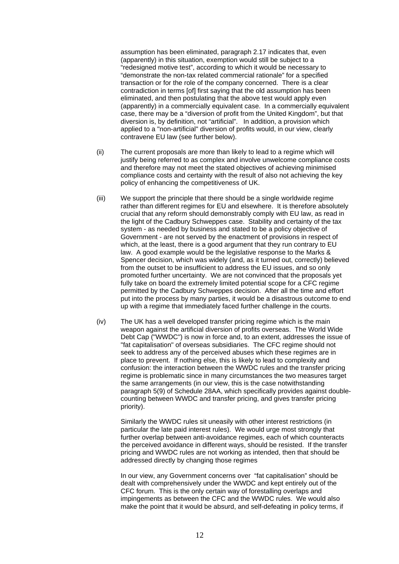assumption has been eliminated, paragraph 2.17 indicates that, even (apparently) in this situation, exemption would still be subject to a "redesigned motive test", according to which it would be necessary to "demonstrate the non-tax related commercial rationale" for a specified transaction or for the role of the company concerned. There is a clear contradiction in terms [of] first saying that the old assumption has been eliminated, and then postulating that the above test would apply even (apparently) in a commercially equivalent case. In a commercially equivalent case, there may be a "diversion of profit from the United Kingdom", but that diversion is, by definition, not "artificial". In addition, a provision which applied to a "non-artificial" diversion of profits would, in our view, clearly contravene EU law (see further below).

- (ii) The current proposals are more than likely to lead to a regime which will justify being referred to as complex and involve unwelcome compliance costs and therefore may not meet the stated objectives of achieving minimised compliance costs and certainty with the result of also not achieving the key policy of enhancing the competitiveness of UK.
- (iii) We support the principle that there should be a single worldwide regime rather than different regimes for EU and elsewhere. It is therefore absolutely crucial that any reform should demonstrably comply with EU law, as read in the light of the Cadbury Schweppes case. Stability and certainty of the tax system - as needed by business and stated to be a policy objective of Government - are not served by the enactment of provisions in respect of which, at the least, there is a good argument that they run contrary to EU law. A good example would be the legislative response to the Marks & Spencer decision, which was widely (and, as it turned out, correctly) believed from the outset to be insufficient to address the EU issues, and so only promoted further uncertainty. We are not convinced that the proposals yet fully take on board the extremely limited potential scope for a CFC regime permitted by the Cadbury Schweppes decision. After all the time and effort put into the process by many parties, it would be a disastrous outcome to end up with a regime that immediately faced further challenge in the courts.
- (iv) The UK has a well developed transfer pricing regime which is the main weapon against the artificial diversion of profits overseas. The World Wide Debt Cap ("WWDC") is now in force and, to an extent, addresses the issue of "fat capitalisation" of overseas subsidiaries. The CFC regime should not seek to address any of the perceived abuses which these regimes are in place to prevent. If nothing else, this is likely to lead to complexity and confusion: the interaction between the WWDC rules and the transfer pricing regime is problematic since in many circumstances the two measures target the same arrangements (in our view, this is the case notwithstanding paragraph 5(9) of Schedule 28AA, which specifically provides against doublecounting between WWDC and transfer pricing, and gives transfer pricing priority).

Similarly the WWDC rules sit uneasily with other interest restrictions (in particular the late paid interest rules). We would urge most strongly that further overlap between anti-avoidance regimes, each of which counteracts the perceived avoidance in different ways, should be resisted. If the transfer pricing and WWDC rules are not working as intended, then that should be addressed directly by changing those regimes

In our view, any Government concerns over "fat capitalisation" should be dealt with comprehensively under the WWDC and kept entirely out of the CFC forum. This is the only certain way of forestalling overlaps and impingements as between the CFC and the WWDC rules. We would also make the point that it would be absurd, and self-defeating in policy terms, if